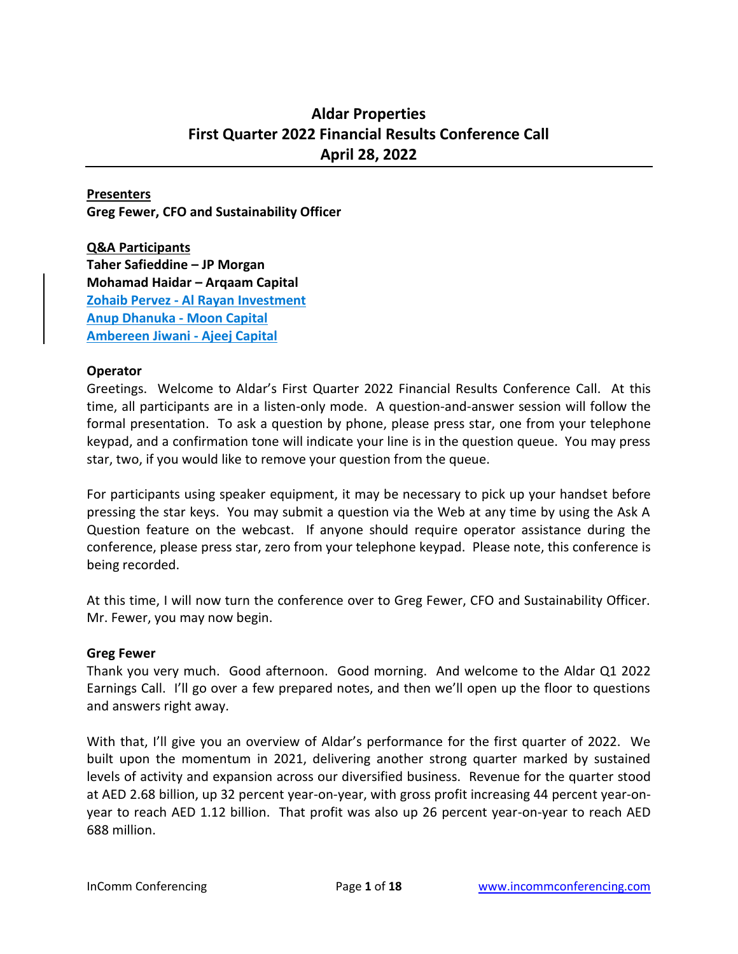# **Aldar Properties First Quarter 2022 Financial Results Conference Call April 28, 2022**

### **Presenters**

**Greg Fewer, CFO and Sustainability Officer**

**Q&A Participants Taher Safieddine – JP Morgan Mohamad Haidar – Arqaam Capital Zohaib Pervez - Al Rayan Investment Anup Dhanuka - Moon Capital Ambereen Jiwani - Ajeej Capital**

#### **Operator**

Greetings. Welcome to Aldar's First Quarter 2022 Financial Results Conference Call. At this time, all participants are in a listen-only mode. A question-and-answer session will follow the formal presentation. To ask a question by phone, please press star, one from your telephone keypad, and a confirmation tone will indicate your line is in the question queue. You may press star, two, if you would like to remove your question from the queue.

For participants using speaker equipment, it may be necessary to pick up your handset before pressing the star keys. You may submit a question via the Web at any time by using the Ask A Question feature on the webcast. If anyone should require operator assistance during the conference, please press star, zero from your telephone keypad. Please note, this conference is being recorded.

At this time, I will now turn the conference over to Greg Fewer, CFO and Sustainability Officer. Mr. Fewer, you may now begin.

### **Greg Fewer**

Thank you very much. Good afternoon. Good morning. And welcome to the Aldar Q1 2022 Earnings Call. I'll go over a few prepared notes, and then we'll open up the floor to questions and answers right away.

With that, I'll give you an overview of Aldar's performance for the first quarter of 2022. We built upon the momentum in 2021, delivering another strong quarter marked by sustained levels of activity and expansion across our diversified business. Revenue for the quarter stood at AED 2.68 billion, up 32 percent year-on-year, with gross profit increasing 44 percent year-onyear to reach AED 1.12 billion. That profit was also up 26 percent year-on-year to reach AED 688 million.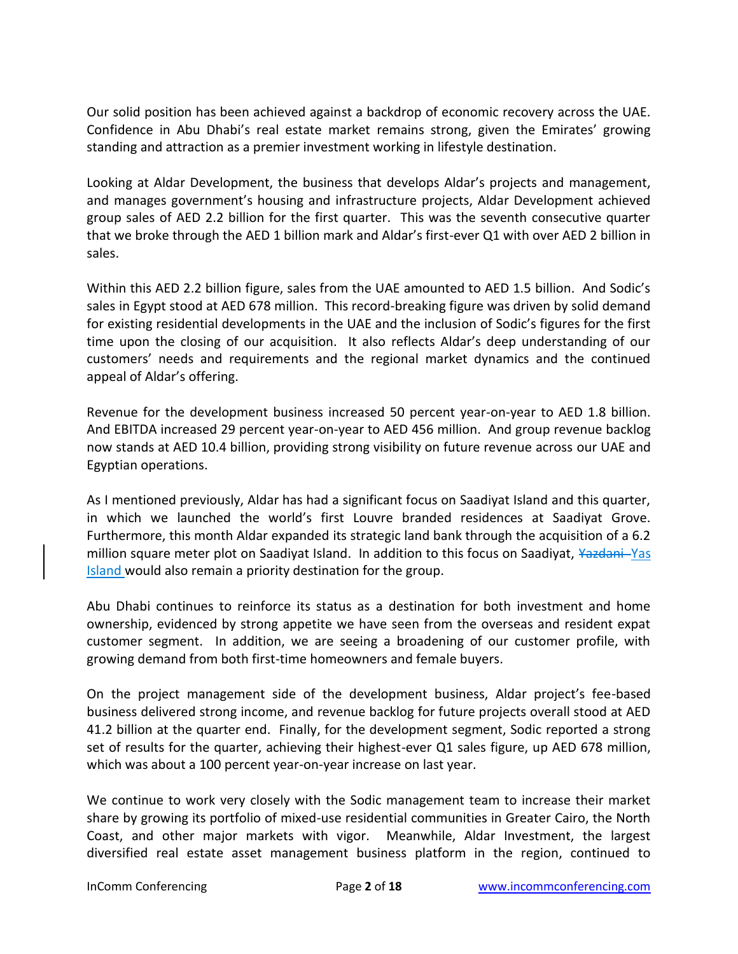Our solid position has been achieved against a backdrop of economic recovery across the UAE. Confidence in Abu Dhabi's real estate market remains strong, given the Emirates' growing standing and attraction as a premier investment working in lifestyle destination.

Looking at Aldar Development, the business that develops Aldar's projects and management, and manages government's housing and infrastructure projects, Aldar Development achieved group sales of AED 2.2 billion for the first quarter. This was the seventh consecutive quarter that we broke through the AED 1 billion mark and Aldar's first-ever Q1 with over AED 2 billion in sales.

Within this AED 2.2 billion figure, sales from the UAE amounted to AED 1.5 billion. And Sodic's sales in Egypt stood at AED 678 million. This record-breaking figure was driven by solid demand for existing residential developments in the UAE and the inclusion of Sodic's figures for the first time upon the closing of our acquisition. It also reflects Aldar's deep understanding of our customers' needs and requirements and the regional market dynamics and the continued appeal of Aldar's offering.

Revenue for the development business increased 50 percent year-on-year to AED 1.8 billion. And EBITDA increased 29 percent year-on-year to AED 456 million. And group revenue backlog now stands at AED 10.4 billion, providing strong visibility on future revenue across our UAE and Egyptian operations.

As I mentioned previously, Aldar has had a significant focus on Saadiyat Island and this quarter, in which we launched the world's first Louvre branded residences at Saadiyat Grove. Furthermore, this month Aldar expanded its strategic land bank through the acquisition of a 6.2 million square meter plot on Saadiyat Island. In addition to this focus on Saadiyat, Yazdani-Yas Island would also remain a priority destination for the group.

Abu Dhabi continues to reinforce its status as a destination for both investment and home ownership, evidenced by strong appetite we have seen from the overseas and resident expat customer segment. In addition, we are seeing a broadening of our customer profile, with growing demand from both first-time homeowners and female buyers.

On the project management side of the development business, Aldar project's fee-based business delivered strong income, and revenue backlog for future projects overall stood at AED 41.2 billion at the quarter end. Finally, for the development segment, Sodic reported a strong set of results for the quarter, achieving their highest-ever Q1 sales figure, up AED 678 million, which was about a 100 percent year-on-year increase on last year.

We continue to work very closely with the Sodic management team to increase their market share by growing its portfolio of mixed-use residential communities in Greater Cairo, the North Coast, and other major markets with vigor. Meanwhile, Aldar Investment, the largest diversified real estate asset management business platform in the region, continued to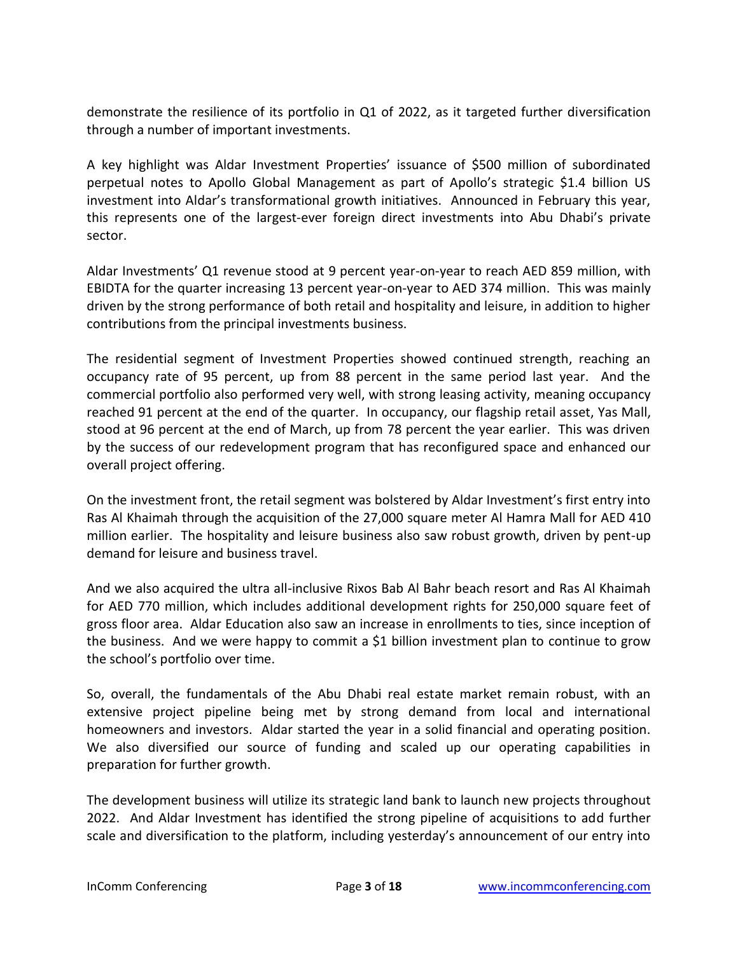demonstrate the resilience of its portfolio in Q1 of 2022, as it targeted further diversification through a number of important investments.

A key highlight was Aldar Investment Properties' issuance of \$500 million of subordinated perpetual notes to Apollo Global Management as part of Apollo's strategic \$1.4 billion US investment into Aldar's transformational growth initiatives. Announced in February this year, this represents one of the largest-ever foreign direct investments into Abu Dhabi's private sector.

Aldar Investments' Q1 revenue stood at 9 percent year-on-year to reach AED 859 million, with EBIDTA for the quarter increasing 13 percent year-on-year to AED 374 million. This was mainly driven by the strong performance of both retail and hospitality and leisure, in addition to higher contributions from the principal investments business.

The residential segment of Investment Properties showed continued strength, reaching an occupancy rate of 95 percent, up from 88 percent in the same period last year. And the commercial portfolio also performed very well, with strong leasing activity, meaning occupancy reached 91 percent at the end of the quarter. In occupancy, our flagship retail asset, Yas Mall, stood at 96 percent at the end of March, up from 78 percent the year earlier. This was driven by the success of our redevelopment program that has reconfigured space and enhanced our overall project offering.

On the investment front, the retail segment was bolstered by Aldar Investment's first entry into Ras Al Khaimah through the acquisition of the 27,000 square meter Al Hamra Mall for AED 410 million earlier. The hospitality and leisure business also saw robust growth, driven by pent-up demand for leisure and business travel.

And we also acquired the ultra all-inclusive Rixos Bab Al Bahr beach resort and Ras Al Khaimah for AED 770 million, which includes additional development rights for 250,000 square feet of gross floor area. Aldar Education also saw an increase in enrollments to ties, since inception of the business. And we were happy to commit a \$1 billion investment plan to continue to grow the school's portfolio over time.

So, overall, the fundamentals of the Abu Dhabi real estate market remain robust, with an extensive project pipeline being met by strong demand from local and international homeowners and investors. Aldar started the year in a solid financial and operating position. We also diversified our source of funding and scaled up our operating capabilities in preparation for further growth.

The development business will utilize its strategic land bank to launch new projects throughout 2022. And Aldar Investment has identified the strong pipeline of acquisitions to add further scale and diversification to the platform, including yesterday's announcement of our entry into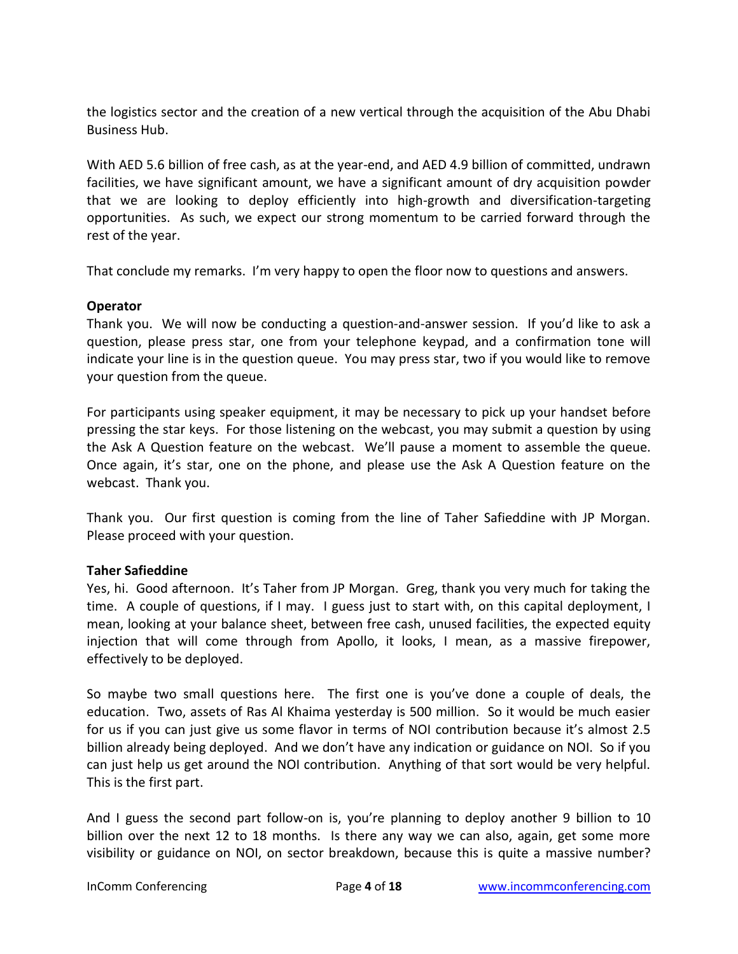the logistics sector and the creation of a new vertical through the acquisition of the Abu Dhabi Business Hub.

With AED 5.6 billion of free cash, as at the year-end, and AED 4.9 billion of committed, undrawn facilities, we have significant amount, we have a significant amount of dry acquisition powder that we are looking to deploy efficiently into high-growth and diversification-targeting opportunities. As such, we expect our strong momentum to be carried forward through the rest of the year.

That conclude my remarks. I'm very happy to open the floor now to questions and answers.

# **Operator**

Thank you. We will now be conducting a question-and-answer session. If you'd like to ask a question, please press star, one from your telephone keypad, and a confirmation tone will indicate your line is in the question queue. You may press star, two if you would like to remove your question from the queue.

For participants using speaker equipment, it may be necessary to pick up your handset before pressing the star keys. For those listening on the webcast, you may submit a question by using the Ask A Question feature on the webcast. We'll pause a moment to assemble the queue. Once again, it's star, one on the phone, and please use the Ask A Question feature on the webcast. Thank you.

Thank you. Our first question is coming from the line of Taher Safieddine with JP Morgan. Please proceed with your question.

# **Taher Safieddine**

Yes, hi. Good afternoon. It's Taher from JP Morgan. Greg, thank you very much for taking the time. A couple of questions, if I may. I guess just to start with, on this capital deployment, I mean, looking at your balance sheet, between free cash, unused facilities, the expected equity injection that will come through from Apollo, it looks, I mean, as a massive firepower, effectively to be deployed.

So maybe two small questions here. The first one is you've done a couple of deals, the education. Two, assets of Ras Al Khaima yesterday is 500 million. So it would be much easier for us if you can just give us some flavor in terms of NOI contribution because it's almost 2.5 billion already being deployed. And we don't have any indication or guidance on NOI. So if you can just help us get around the NOI contribution. Anything of that sort would be very helpful. This is the first part.

And I guess the second part follow-on is, you're planning to deploy another 9 billion to 10 billion over the next 12 to 18 months. Is there any way we can also, again, get some more visibility or guidance on NOI, on sector breakdown, because this is quite a massive number?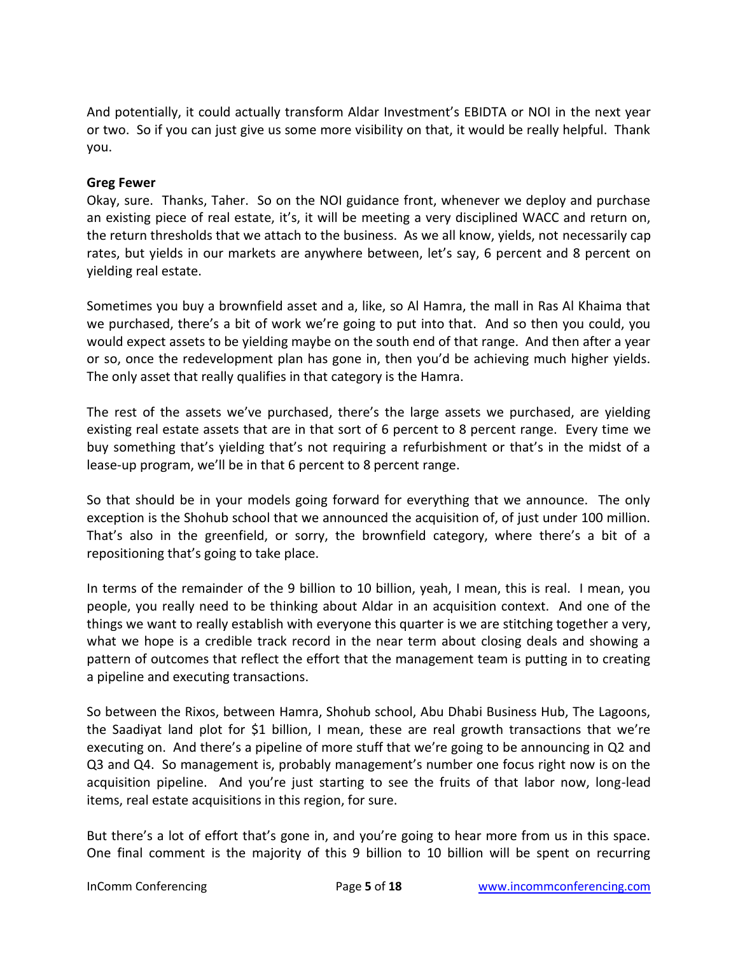And potentially, it could actually transform Aldar Investment's EBIDTA or NOI in the next year or two. So if you can just give us some more visibility on that, it would be really helpful. Thank you.

### **Greg Fewer**

Okay, sure. Thanks, Taher. So on the NOI guidance front, whenever we deploy and purchase an existing piece of real estate, it's, it will be meeting a very disciplined WACC and return on, the return thresholds that we attach to the business. As we all know, yields, not necessarily cap rates, but yields in our markets are anywhere between, let's say, 6 percent and 8 percent on yielding real estate.

Sometimes you buy a brownfield asset and a, like, so Al Hamra, the mall in Ras Al Khaima that we purchased, there's a bit of work we're going to put into that. And so then you could, you would expect assets to be yielding maybe on the south end of that range. And then after a year or so, once the redevelopment plan has gone in, then you'd be achieving much higher yields. The only asset that really qualifies in that category is the Hamra.

The rest of the assets we've purchased, there's the large assets we purchased, are yielding existing real estate assets that are in that sort of 6 percent to 8 percent range. Every time we buy something that's yielding that's not requiring a refurbishment or that's in the midst of a lease-up program, we'll be in that 6 percent to 8 percent range.

So that should be in your models going forward for everything that we announce. The only exception is the Shohub school that we announced the acquisition of, of just under 100 million. That's also in the greenfield, or sorry, the brownfield category, where there's a bit of a repositioning that's going to take place.

In terms of the remainder of the 9 billion to 10 billion, yeah, I mean, this is real. I mean, you people, you really need to be thinking about Aldar in an acquisition context. And one of the things we want to really establish with everyone this quarter is we are stitching together a very, what we hope is a credible track record in the near term about closing deals and showing a pattern of outcomes that reflect the effort that the management team is putting in to creating a pipeline and executing transactions.

So between the Rixos, between Hamra, Shohub school, Abu Dhabi Business Hub, The Lagoons, the Saadiyat land plot for \$1 billion, I mean, these are real growth transactions that we're executing on. And there's a pipeline of more stuff that we're going to be announcing in Q2 and Q3 and Q4. So management is, probably management's number one focus right now is on the acquisition pipeline. And you're just starting to see the fruits of that labor now, long-lead items, real estate acquisitions in this region, for sure.

But there's a lot of effort that's gone in, and you're going to hear more from us in this space. One final comment is the majority of this 9 billion to 10 billion will be spent on recurring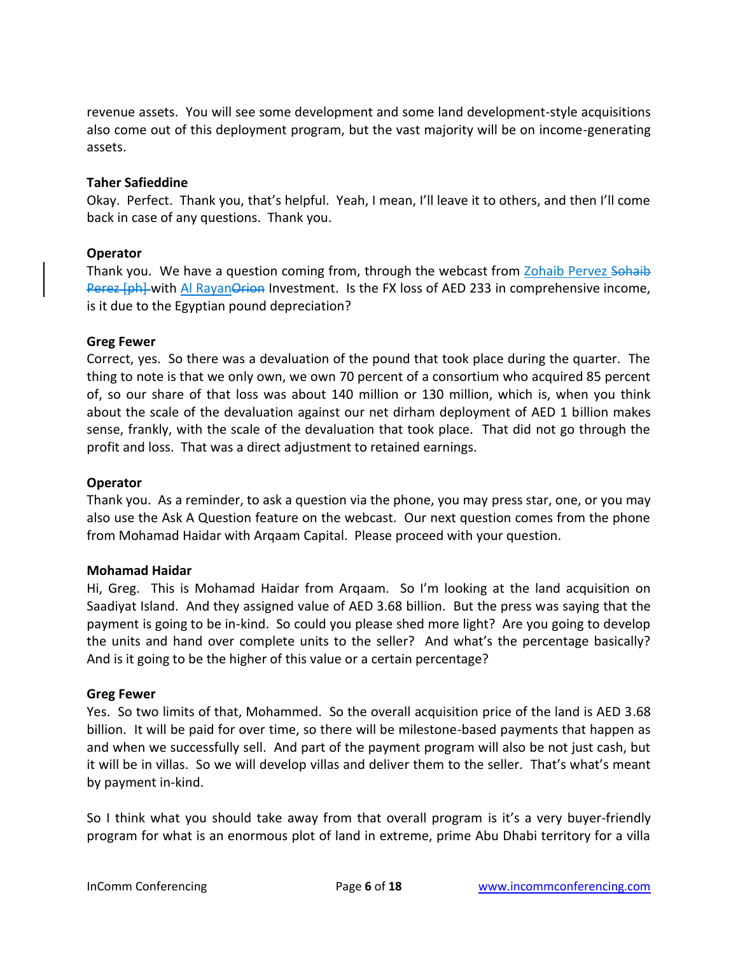revenue assets. You will see some development and some land development-style acquisitions also come out of this deployment program, but the vast majority will be on income-generating assets.

### **Taher Safieddine**

Okay. Perfect. Thank you, that's helpful. Yeah, I mean, I'll leave it to others, and then I'll come back in case of any questions. Thank you.

# **Operator**

Thank you. We have a question coming from, through the webcast from Zohaib Pervez Sohaib Perez [ph] with Al Rayan Orion Investment. Is the FX loss of AED 233 in comprehensive income, is it due to the Egyptian pound depreciation?

# **Greg Fewer**

Correct, yes. So there was a devaluation of the pound that took place during the quarter. The thing to note is that we only own, we own 70 percent of a consortium who acquired 85 percent of, so our share of that loss was about 140 million or 130 million, which is, when you think about the scale of the devaluation against our net dirham deployment of AED 1 billion makes sense, frankly, with the scale of the devaluation that took place. That did not go through the profit and loss. That was a direct adjustment to retained earnings.

### **Operator**

Thank you. As a reminder, to ask a question via the phone, you may press star, one, or you may also use the Ask A Question feature on the webcast. Our next question comes from the phone from Mohamad Haidar with Arqaam Capital. Please proceed with your question.

### **Mohamad Haidar**

Hi, Greg. This is Mohamad Haidar from Arqaam. So I'm looking at the land acquisition on Saadiyat Island. And they assigned value of AED 3.68 billion. But the press was saying that the payment is going to be in-kind. So could you please shed more light? Are you going to develop the units and hand over complete units to the seller? And what's the percentage basically? And is it going to be the higher of this value or a certain percentage?

### **Greg Fewer**

Yes. So two limits of that, Mohammed. So the overall acquisition price of the land is AED 3.68 billion. It will be paid for over time, so there will be milestone-based payments that happen as and when we successfully sell. And part of the payment program will also be not just cash, but it will be in villas. So we will develop villas and deliver them to the seller. That's what's meant by payment in-kind.

So I think what you should take away from that overall program is it's a very buyer-friendly program for what is an enormous plot of land in extreme, prime Abu Dhabi territory for a villa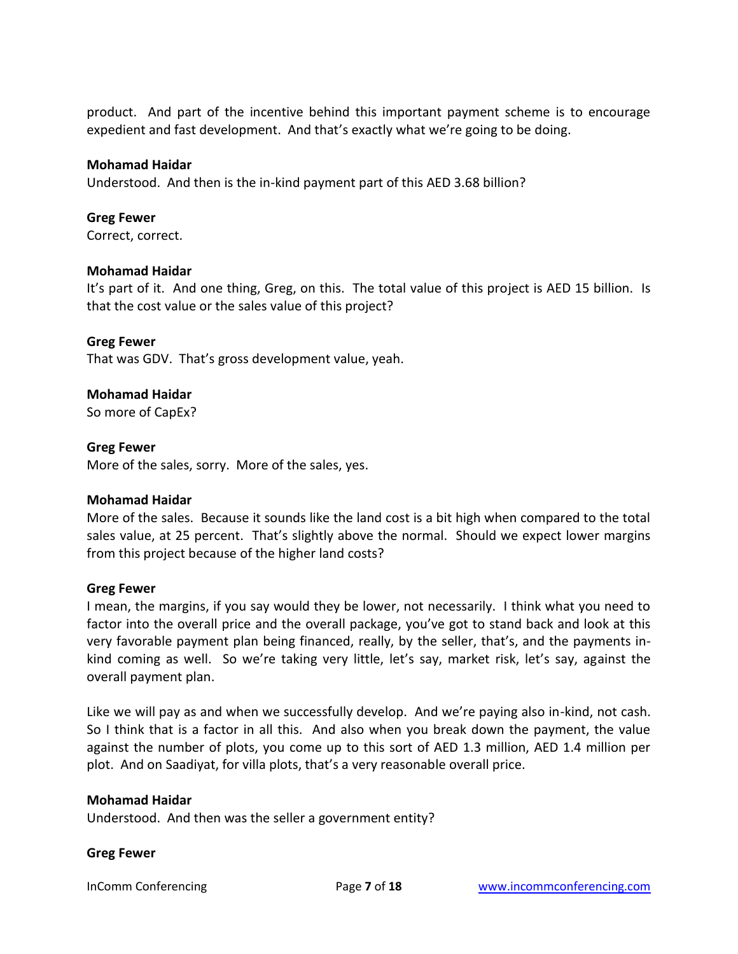product. And part of the incentive behind this important payment scheme is to encourage expedient and fast development. And that's exactly what we're going to be doing.

### **Mohamad Haidar**

Understood. And then is the in-kind payment part of this AED 3.68 billion?

#### **Greg Fewer**

Correct, correct.

#### **Mohamad Haidar**

It's part of it. And one thing, Greg, on this. The total value of this project is AED 15 billion. Is that the cost value or the sales value of this project?

**Greg Fewer**  That was GDV. That's gross development value, yeah.

### **Mohamad Haidar**

So more of CapEx?

### **Greg Fewer**

More of the sales, sorry. More of the sales, yes.

### **Mohamad Haidar**

More of the sales. Because it sounds like the land cost is a bit high when compared to the total sales value, at 25 percent. That's slightly above the normal. Should we expect lower margins from this project because of the higher land costs?

#### **Greg Fewer**

I mean, the margins, if you say would they be lower, not necessarily. I think what you need to factor into the overall price and the overall package, you've got to stand back and look at this very favorable payment plan being financed, really, by the seller, that's, and the payments inkind coming as well. So we're taking very little, let's say, market risk, let's say, against the overall payment plan.

Like we will pay as and when we successfully develop. And we're paying also in-kind, not cash. So I think that is a factor in all this. And also when you break down the payment, the value against the number of plots, you come up to this sort of AED 1.3 million, AED 1.4 million per plot. And on Saadiyat, for villa plots, that's a very reasonable overall price.

#### **Mohamad Haidar**

Understood. And then was the seller a government entity?

#### **Greg Fewer**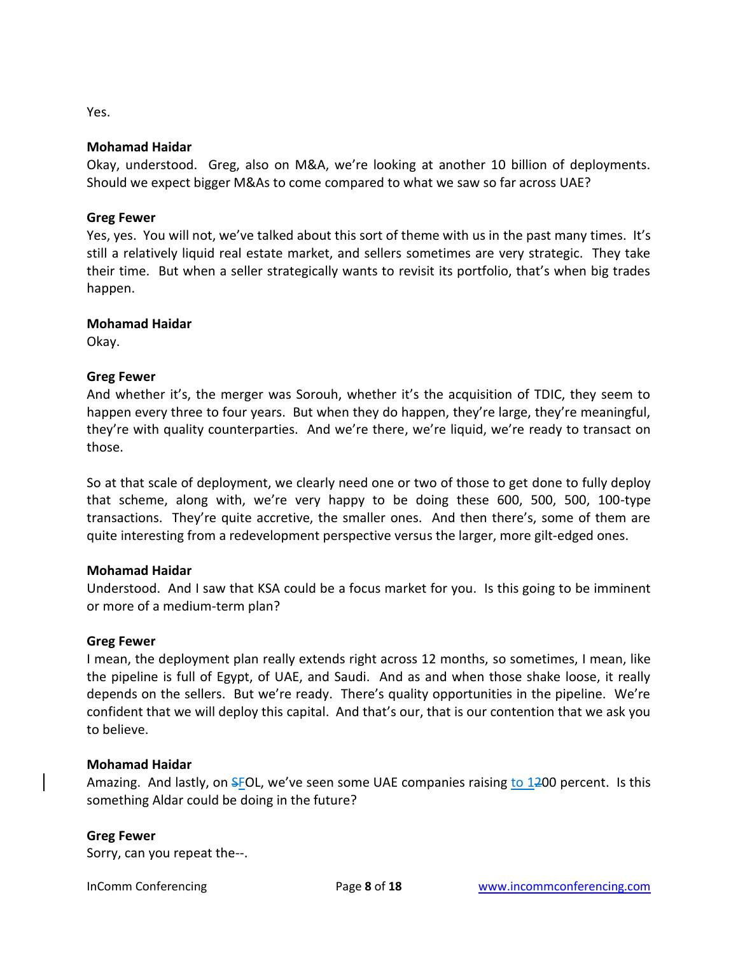Yes.

#### **Mohamad Haidar**

Okay, understood. Greg, also on M&A, we're looking at another 10 billion of deployments. Should we expect bigger M&As to come compared to what we saw so far across UAE?

### **Greg Fewer**

Yes, yes. You will not, we've talked about this sort of theme with us in the past many times. It's still a relatively liquid real estate market, and sellers sometimes are very strategic. They take their time. But when a seller strategically wants to revisit its portfolio, that's when big trades happen.

### **Mohamad Haidar**

Okay.

# **Greg Fewer**

And whether it's, the merger was Sorouh, whether it's the acquisition of TDIC, they seem to happen every three to four years. But when they do happen, they're large, they're meaningful, they're with quality counterparties. And we're there, we're liquid, we're ready to transact on those.

So at that scale of deployment, we clearly need one or two of those to get done to fully deploy that scheme, along with, we're very happy to be doing these 600, 500, 500, 100-type transactions. They're quite accretive, the smaller ones. And then there's, some of them are quite interesting from a redevelopment perspective versus the larger, more gilt-edged ones.

### **Mohamad Haidar**

Understood. And I saw that KSA could be a focus market for you. Is this going to be imminent or more of a medium-term plan?

#### **Greg Fewer**

I mean, the deployment plan really extends right across 12 months, so sometimes, I mean, like the pipeline is full of Egypt, of UAE, and Saudi. And as and when those shake loose, it really depends on the sellers. But we're ready. There's quality opportunities in the pipeline. We're confident that we will deploy this capital. And that's our, that is our contention that we ask you to believe.

#### **Mohamad Haidar**

Amazing. And lastly, on SFOL, we've seen some UAE companies raising to 1200 percent. Is this something Aldar could be doing in the future?

### **Greg Fewer**

Sorry, can you repeat the--.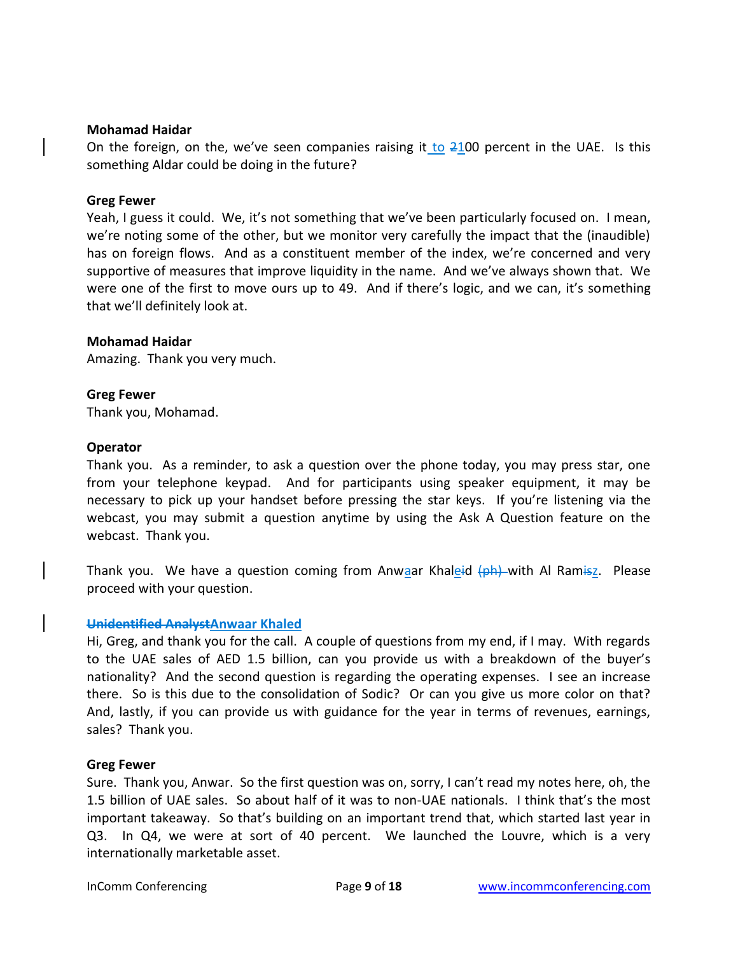#### **Mohamad Haidar**

On the foreign, on the, we've seen companies raising it to  $2100$  percent in the UAE. Is this something Aldar could be doing in the future?

#### **Greg Fewer**

Yeah, I guess it could. We, it's not something that we've been particularly focused on. I mean, we're noting some of the other, but we monitor very carefully the impact that the (inaudible) has on foreign flows. And as a constituent member of the index, we're concerned and very supportive of measures that improve liquidity in the name. And we've always shown that. We were one of the first to move ours up to 49. And if there's logic, and we can, it's something that we'll definitely look at.

#### **Mohamad Haidar**

Amazing. Thank you very much.

#### **Greg Fewer**

Thank you, Mohamad.

#### **Operator**

Thank you. As a reminder, to ask a question over the phone today, you may press star, one from your telephone keypad. And for participants using speaker equipment, it may be necessary to pick up your handset before pressing the star keys. If you're listening via the webcast, you may submit a question anytime by using the Ask A Question feature on the webcast. Thank you.

Thank you. We have a question coming from Anwaar Khaleid (ph) with Al Ramisz. Please proceed with your question.

#### **Unidentified AnalystAnwaar Khaled**

Hi, Greg, and thank you for the call. A couple of questions from my end, if I may. With regards to the UAE sales of AED 1.5 billion, can you provide us with a breakdown of the buyer's nationality? And the second question is regarding the operating expenses. I see an increase there. So is this due to the consolidation of Sodic? Or can you give us more color on that? And, lastly, if you can provide us with guidance for the year in terms of revenues, earnings, sales? Thank you.

#### **Greg Fewer**

Sure. Thank you, Anwar. So the first question was on, sorry, I can't read my notes here, oh, the 1.5 billion of UAE sales. So about half of it was to non-UAE nationals. I think that's the most important takeaway. So that's building on an important trend that, which started last year in Q3. In Q4, we were at sort of 40 percent. We launched the Louvre, which is a very internationally marketable asset.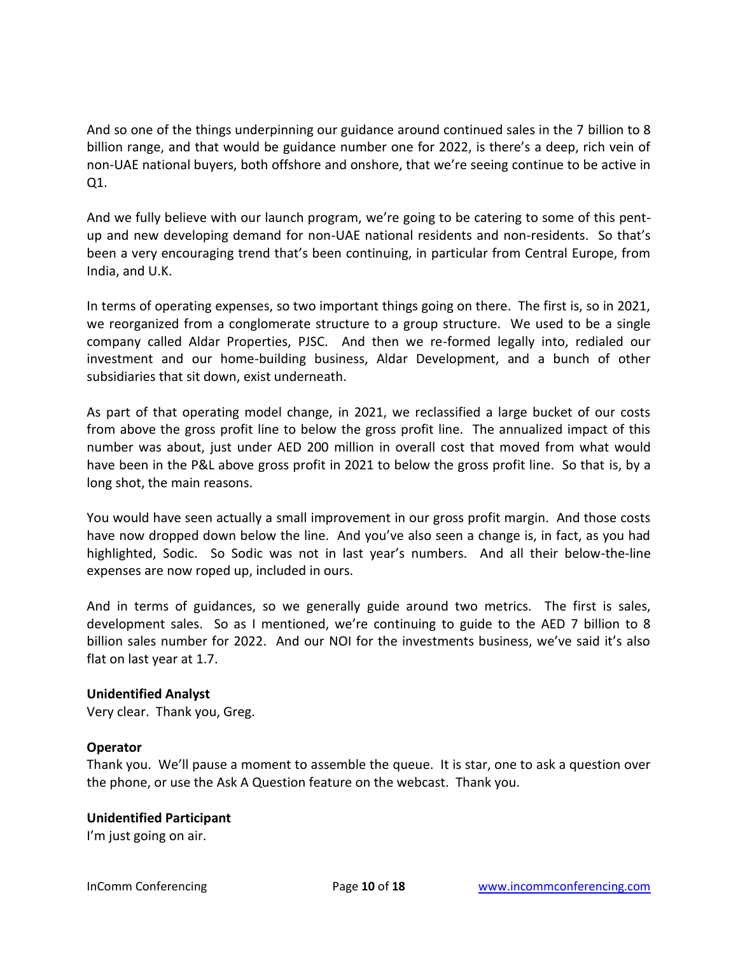And so one of the things underpinning our guidance around continued sales in the 7 billion to 8 billion range, and that would be guidance number one for 2022, is there's a deep, rich vein of non-UAE national buyers, both offshore and onshore, that we're seeing continue to be active in Q1.

And we fully believe with our launch program, we're going to be catering to some of this pentup and new developing demand for non-UAE national residents and non-residents. So that's been a very encouraging trend that's been continuing, in particular from Central Europe, from India, and U.K.

In terms of operating expenses, so two important things going on there. The first is, so in 2021, we reorganized from a conglomerate structure to a group structure. We used to be a single company called Aldar Properties, PJSC. And then we re-formed legally into, redialed our investment and our home-building business, Aldar Development, and a bunch of other subsidiaries that sit down, exist underneath.

As part of that operating model change, in 2021, we reclassified a large bucket of our costs from above the gross profit line to below the gross profit line. The annualized impact of this number was about, just under AED 200 million in overall cost that moved from what would have been in the P&L above gross profit in 2021 to below the gross profit line. So that is, by a long shot, the main reasons.

You would have seen actually a small improvement in our gross profit margin. And those costs have now dropped down below the line. And you've also seen a change is, in fact, as you had highlighted, Sodic. So Sodic was not in last year's numbers. And all their below-the-line expenses are now roped up, included in ours.

And in terms of guidances, so we generally guide around two metrics. The first is sales, development sales. So as I mentioned, we're continuing to guide to the AED 7 billion to 8 billion sales number for 2022. And our NOI for the investments business, we've said it's also flat on last year at 1.7.

### **Unidentified Analyst**

Very clear. Thank you, Greg.

# **Operator**

Thank you. We'll pause a moment to assemble the queue. It is star, one to ask a question over the phone, or use the Ask A Question feature on the webcast. Thank you.

# **Unidentified Participant**

I'm just going on air.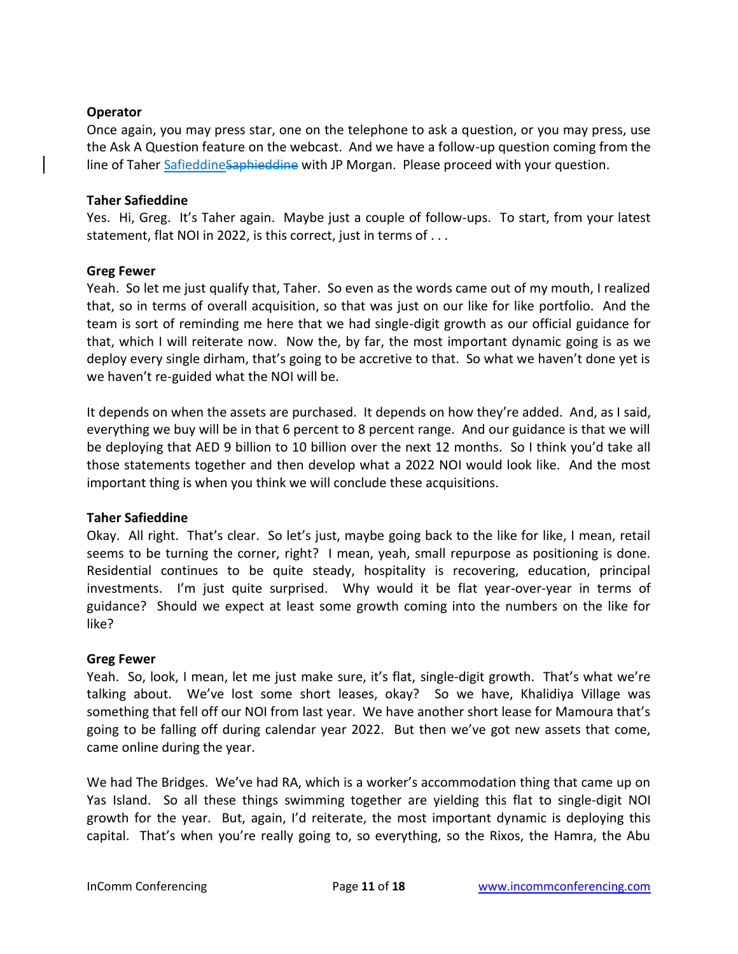### **Operator**

Once again, you may press star, one on the telephone to ask a question, or you may press, use the Ask A Question feature on the webcast. And we have a follow-up question coming from the line of Taher SafieddineSaphieddine with JP Morgan. Please proceed with your question.

### **Taher Safieddine**

Yes. Hi, Greg. It's Taher again. Maybe just a couple of follow-ups. To start, from your latest statement, flat NOI in 2022, is this correct, just in terms of . . .

### **Greg Fewer**

Yeah. So let me just qualify that, Taher. So even as the words came out of my mouth, I realized that, so in terms of overall acquisition, so that was just on our like for like portfolio. And the team is sort of reminding me here that we had single-digit growth as our official guidance for that, which I will reiterate now. Now the, by far, the most important dynamic going is as we deploy every single dirham, that's going to be accretive to that. So what we haven't done yet is we haven't re-guided what the NOI will be.

It depends on when the assets are purchased. It depends on how they're added. And, as I said, everything we buy will be in that 6 percent to 8 percent range. And our guidance is that we will be deploying that AED 9 billion to 10 billion over the next 12 months. So I think you'd take all those statements together and then develop what a 2022 NOI would look like. And the most important thing is when you think we will conclude these acquisitions.

### **Taher Safieddine**

Okay. All right. That's clear. So let's just, maybe going back to the like for like, I mean, retail seems to be turning the corner, right? I mean, yeah, small repurpose as positioning is done. Residential continues to be quite steady, hospitality is recovering, education, principal investments. I'm just quite surprised. Why would it be flat year-over-year in terms of guidance? Should we expect at least some growth coming into the numbers on the like for like?

### **Greg Fewer**

Yeah. So, look, I mean, let me just make sure, it's flat, single-digit growth. That's what we're talking about. We've lost some short leases, okay? So we have, Khalidiya Village was something that fell off our NOI from last year. We have another short lease for Mamoura that's going to be falling off during calendar year 2022. But then we've got new assets that come, came online during the year.

We had The Bridges. We've had RA, which is a worker's accommodation thing that came up on Yas Island. So all these things swimming together are yielding this flat to single-digit NOI growth for the year. But, again, I'd reiterate, the most important dynamic is deploying this capital. That's when you're really going to, so everything, so the Rixos, the Hamra, the Abu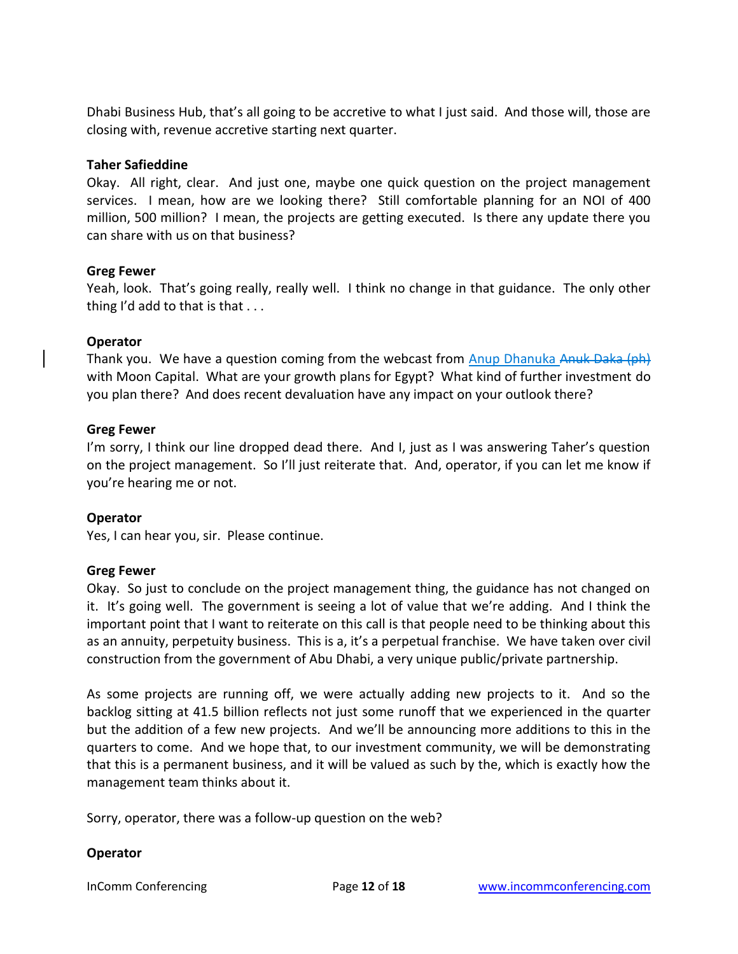Dhabi Business Hub, that's all going to be accretive to what I just said. And those will, those are closing with, revenue accretive starting next quarter.

### **Taher Safieddine**

Okay. All right, clear. And just one, maybe one quick question on the project management services. I mean, how are we looking there? Still comfortable planning for an NOI of 400 million, 500 million? I mean, the projects are getting executed. Is there any update there you can share with us on that business?

# **Greg Fewer**

Yeah, look. That's going really, really well. I think no change in that guidance. The only other thing I'd add to that is that . . .

# **Operator**

Thank you. We have a question coming from the webcast from Anup Dhanuka Anuk Daka (ph) with Moon Capital. What are your growth plans for Egypt? What kind of further investment do you plan there? And does recent devaluation have any impact on your outlook there?

# **Greg Fewer**

I'm sorry, I think our line dropped dead there. And I, just as I was answering Taher's question on the project management. So I'll just reiterate that. And, operator, if you can let me know if you're hearing me or not.

### **Operator**

Yes, I can hear you, sir. Please continue.

# **Greg Fewer**

Okay. So just to conclude on the project management thing, the guidance has not changed on it. It's going well. The government is seeing a lot of value that we're adding. And I think the important point that I want to reiterate on this call is that people need to be thinking about this as an annuity, perpetuity business. This is a, it's a perpetual franchise. We have taken over civil construction from the government of Abu Dhabi, a very unique public/private partnership.

As some projects are running off, we were actually adding new projects to it. And so the backlog sitting at 41.5 billion reflects not just some runoff that we experienced in the quarter but the addition of a few new projects. And we'll be announcing more additions to this in the quarters to come. And we hope that, to our investment community, we will be demonstrating that this is a permanent business, and it will be valued as such by the, which is exactly how the management team thinks about it.

Sorry, operator, there was a follow-up question on the web?

# **Operator**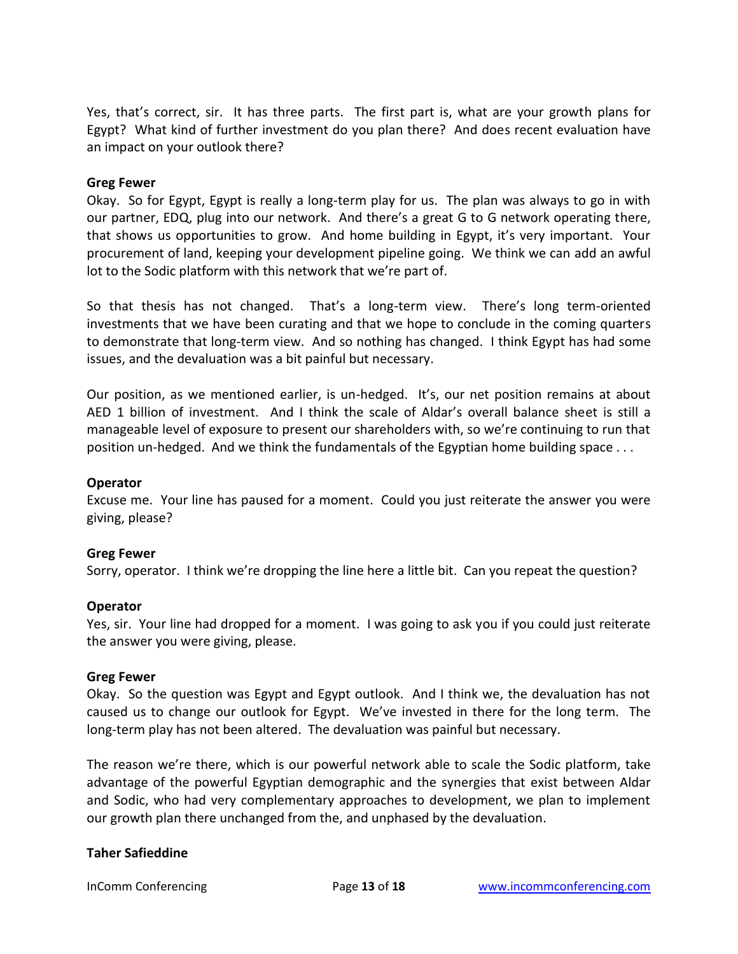Yes, that's correct, sir. It has three parts. The first part is, what are your growth plans for Egypt? What kind of further investment do you plan there? And does recent evaluation have an impact on your outlook there?

### **Greg Fewer**

Okay. So for Egypt, Egypt is really a long-term play for us. The plan was always to go in with our partner, EDQ, plug into our network. And there's a great G to G network operating there, that shows us opportunities to grow. And home building in Egypt, it's very important. Your procurement of land, keeping your development pipeline going. We think we can add an awful lot to the Sodic platform with this network that we're part of.

So that thesis has not changed. That's a long-term view. There's long term-oriented investments that we have been curating and that we hope to conclude in the coming quarters to demonstrate that long-term view. And so nothing has changed. I think Egypt has had some issues, and the devaluation was a bit painful but necessary.

Our position, as we mentioned earlier, is un-hedged. It's, our net position remains at about AED 1 billion of investment. And I think the scale of Aldar's overall balance sheet is still a manageable level of exposure to present our shareholders with, so we're continuing to run that position un-hedged. And we think the fundamentals of the Egyptian home building space . . .

### **Operator**

Excuse me. Your line has paused for a moment. Could you just reiterate the answer you were giving, please?

### **Greg Fewer**

Sorry, operator. I think we're dropping the line here a little bit. Can you repeat the question?

### **Operator**

Yes, sir. Your line had dropped for a moment. I was going to ask you if you could just reiterate the answer you were giving, please.

### **Greg Fewer**

Okay. So the question was Egypt and Egypt outlook. And I think we, the devaluation has not caused us to change our outlook for Egypt. We've invested in there for the long term. The long-term play has not been altered. The devaluation was painful but necessary.

The reason we're there, which is our powerful network able to scale the Sodic platform, take advantage of the powerful Egyptian demographic and the synergies that exist between Aldar and Sodic, who had very complementary approaches to development, we plan to implement our growth plan there unchanged from the, and unphased by the devaluation.

### **Taher Safieddine**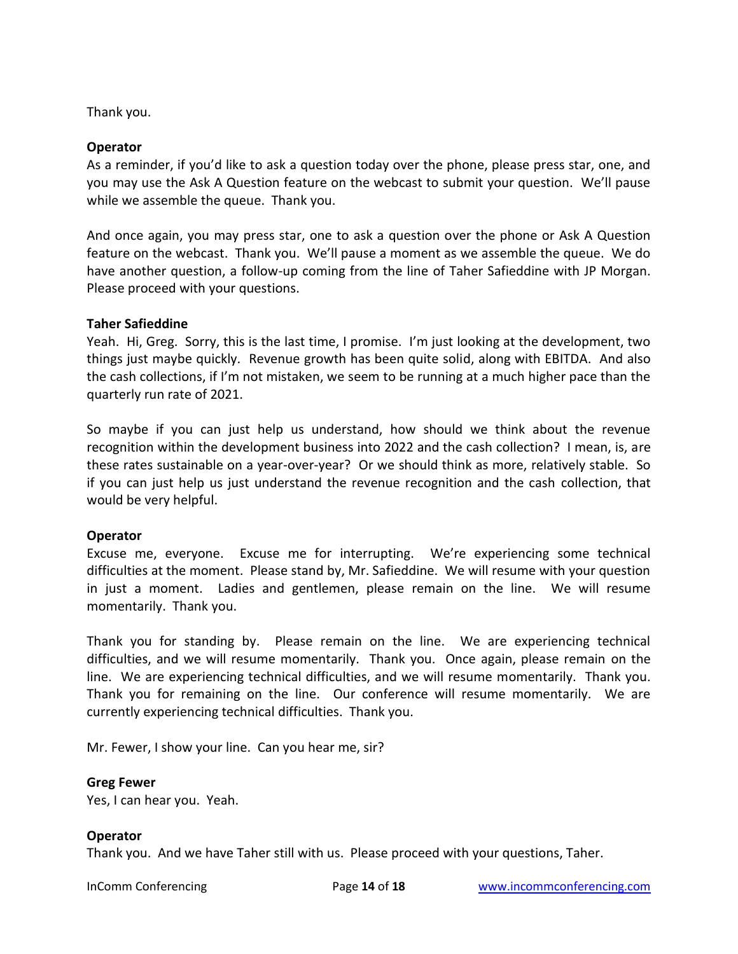Thank you.

### **Operator**

As a reminder, if you'd like to ask a question today over the phone, please press star, one, and you may use the Ask A Question feature on the webcast to submit your question. We'll pause while we assemble the queue. Thank you.

And once again, you may press star, one to ask a question over the phone or Ask A Question feature on the webcast. Thank you. We'll pause a moment as we assemble the queue. We do have another question, a follow-up coming from the line of Taher Safieddine with JP Morgan. Please proceed with your questions.

### **Taher Safieddine**

Yeah. Hi, Greg. Sorry, this is the last time, I promise. I'm just looking at the development, two things just maybe quickly. Revenue growth has been quite solid, along with EBITDA. And also the cash collections, if I'm not mistaken, we seem to be running at a much higher pace than the quarterly run rate of 2021.

So maybe if you can just help us understand, how should we think about the revenue recognition within the development business into 2022 and the cash collection? I mean, is, are these rates sustainable on a year-over-year? Or we should think as more, relatively stable. So if you can just help us just understand the revenue recognition and the cash collection, that would be very helpful.

# **Operator**

Excuse me, everyone. Excuse me for interrupting. We're experiencing some technical difficulties at the moment. Please stand by, Mr. Safieddine. We will resume with your question in just a moment. Ladies and gentlemen, please remain on the line. We will resume momentarily. Thank you.

Thank you for standing by. Please remain on the line. We are experiencing technical difficulties, and we will resume momentarily. Thank you. Once again, please remain on the line. We are experiencing technical difficulties, and we will resume momentarily. Thank you. Thank you for remaining on the line. Our conference will resume momentarily. We are currently experiencing technical difficulties. Thank you.

Mr. Fewer, I show your line. Can you hear me, sir?

### **Greg Fewer**

Yes, I can hear you. Yeah.

### **Operator**

Thank you. And we have Taher still with us. Please proceed with your questions, Taher.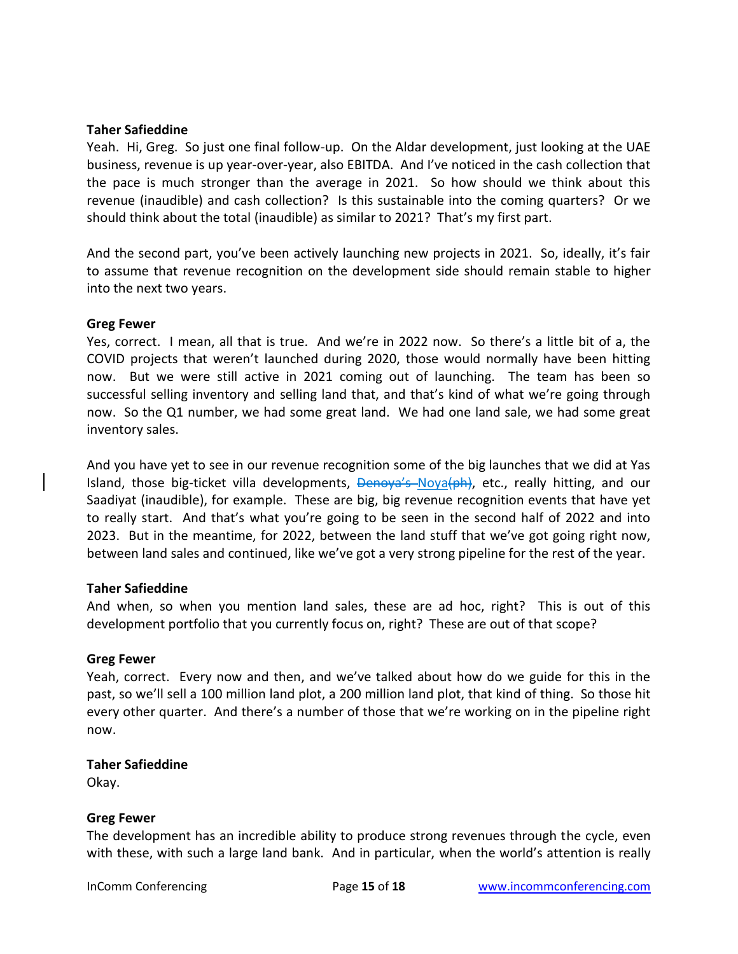#### **Taher Safieddine**

Yeah. Hi, Greg. So just one final follow-up. On the Aldar development, just looking at the UAE business, revenue is up year-over-year, also EBITDA. And I've noticed in the cash collection that the pace is much stronger than the average in 2021. So how should we think about this revenue (inaudible) and cash collection? Is this sustainable into the coming quarters? Or we should think about the total (inaudible) as similar to 2021? That's my first part.

And the second part, you've been actively launching new projects in 2021. So, ideally, it's fair to assume that revenue recognition on the development side should remain stable to higher into the next two years.

#### **Greg Fewer**

Yes, correct. I mean, all that is true. And we're in 2022 now. So there's a little bit of a, the COVID projects that weren't launched during 2020, those would normally have been hitting now. But we were still active in 2021 coming out of launching. The team has been so successful selling inventory and selling land that, and that's kind of what we're going through now. So the Q1 number, we had some great land. We had one land sale, we had some great inventory sales.

And you have yet to see in our revenue recognition some of the big launches that we did at Yas Island, those big-ticket villa developments, Denoya's Noya(ph), etc., really hitting, and our Saadiyat (inaudible), for example. These are big, big revenue recognition events that have yet to really start. And that's what you're going to be seen in the second half of 2022 and into 2023. But in the meantime, for 2022, between the land stuff that we've got going right now, between land sales and continued, like we've got a very strong pipeline for the rest of the year.

### **Taher Safieddine**

And when, so when you mention land sales, these are ad hoc, right? This is out of this development portfolio that you currently focus on, right? These are out of that scope?

### **Greg Fewer**

Yeah, correct. Every now and then, and we've talked about how do we guide for this in the past, so we'll sell a 100 million land plot, a 200 million land plot, that kind of thing. So those hit every other quarter. And there's a number of those that we're working on in the pipeline right now.

#### **Taher Safieddine**

Okay.

### **Greg Fewer**

The development has an incredible ability to produce strong revenues through the cycle, even with these, with such a large land bank. And in particular, when the world's attention is really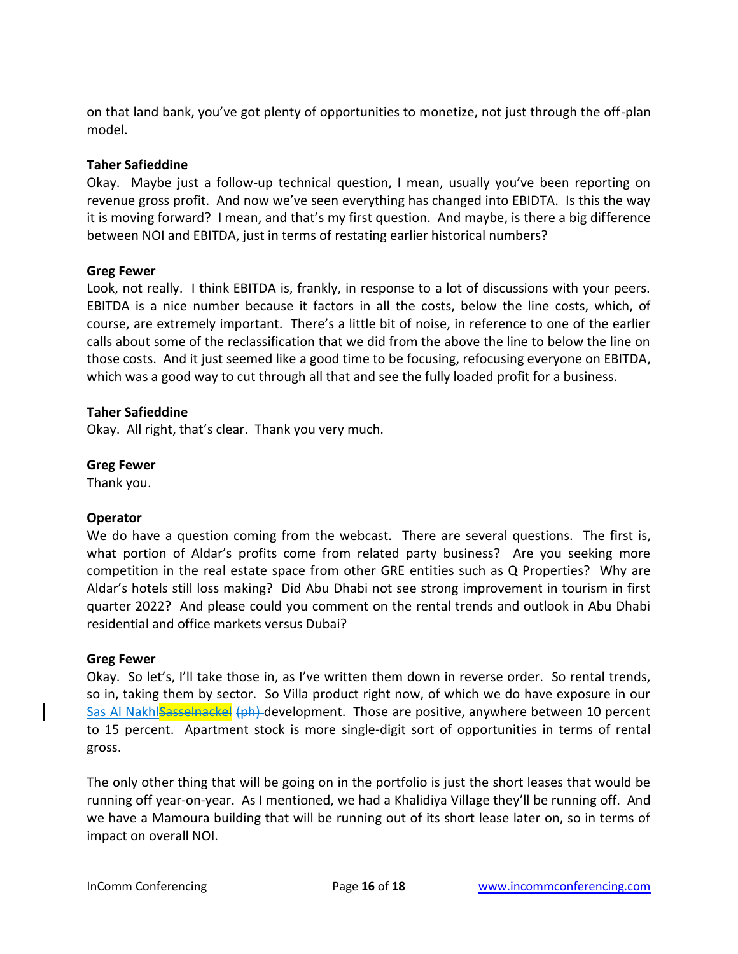on that land bank, you've got plenty of opportunities to monetize, not just through the off-plan model.

# **Taher Safieddine**

Okay. Maybe just a follow-up technical question, I mean, usually you've been reporting on revenue gross profit. And now we've seen everything has changed into EBIDTA. Is this the way it is moving forward? I mean, and that's my first question. And maybe, is there a big difference between NOI and EBITDA, just in terms of restating earlier historical numbers?

### **Greg Fewer**

Look, not really. I think EBITDA is, frankly, in response to a lot of discussions with your peers. EBITDA is a nice number because it factors in all the costs, below the line costs, which, of course, are extremely important. There's a little bit of noise, in reference to one of the earlier calls about some of the reclassification that we did from the above the line to below the line on those costs. And it just seemed like a good time to be focusing, refocusing everyone on EBITDA, which was a good way to cut through all that and see the fully loaded profit for a business.

# **Taher Safieddine**

Okay. All right, that's clear. Thank you very much.

**Greg Fewer** 

Thank you.

### **Operator**

We do have a question coming from the webcast. There are several questions. The first is, what portion of Aldar's profits come from related party business? Are you seeking more competition in the real estate space from other GRE entities such as Q Properties? Why are Aldar's hotels still loss making? Did Abu Dhabi not see strong improvement in tourism in first quarter 2022? And please could you comment on the rental trends and outlook in Abu Dhabi residential and office markets versus Dubai?

### **Greg Fewer**

Okay. So let's, I'll take those in, as I've written them down in reverse order. So rental trends, so in, taking them by sector. So Villa product right now, of which we do have exposure in our Sas Al Nakhlsasselnackel (ph) development. Those are positive, anywhere between 10 percent to 15 percent. Apartment stock is more single-digit sort of opportunities in terms of rental gross.

The only other thing that will be going on in the portfolio is just the short leases that would be running off year-on-year. As I mentioned, we had a Khalidiya Village they'll be running off. And we have a Mamoura building that will be running out of its short lease later on, so in terms of impact on overall NOI.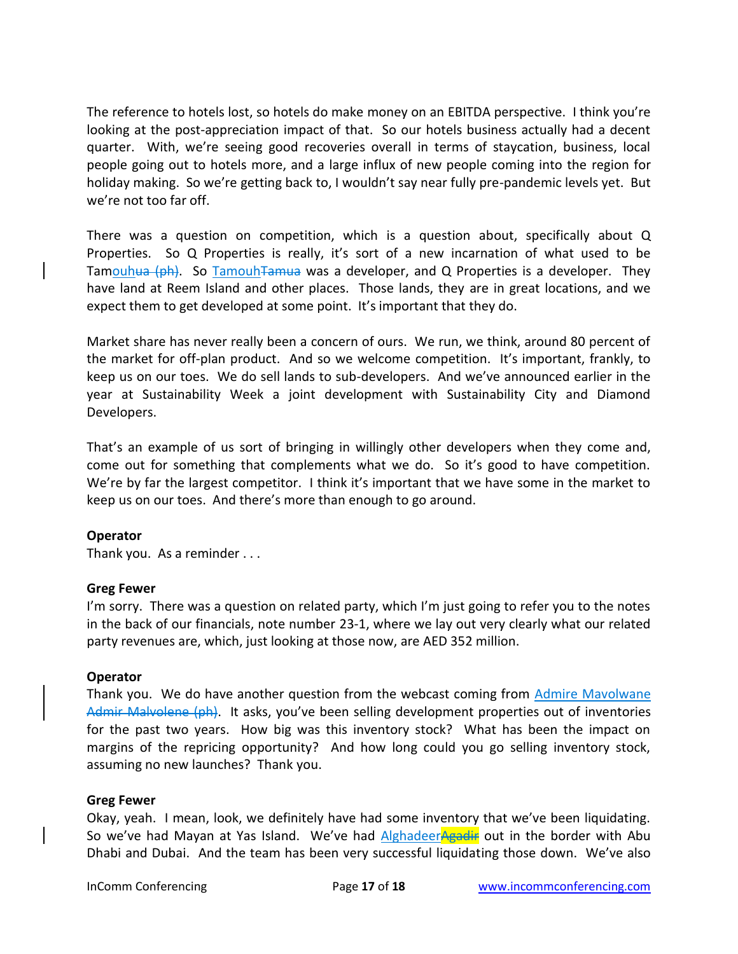The reference to hotels lost, so hotels do make money on an EBITDA perspective. I think you're looking at the post-appreciation impact of that. So our hotels business actually had a decent quarter. With, we're seeing good recoveries overall in terms of staycation, business, local people going out to hotels more, and a large influx of new people coming into the region for holiday making. So we're getting back to, I wouldn't say near fully pre-pandemic levels yet. But we're not too far off.

There was a question on competition, which is a question about, specifically about Q Properties. So Q Properties is really, it's sort of a new incarnation of what used to be Tamouhua (ph). So TamouhTamua was a developer, and Q Properties is a developer. They have land at Reem Island and other places. Those lands, they are in great locations, and we expect them to get developed at some point. It's important that they do.

Market share has never really been a concern of ours. We run, we think, around 80 percent of the market for off-plan product. And so we welcome competition. It's important, frankly, to keep us on our toes. We do sell lands to sub-developers. And we've announced earlier in the year at Sustainability Week a joint development with Sustainability City and Diamond Developers.

That's an example of us sort of bringing in willingly other developers when they come and, come out for something that complements what we do. So it's good to have competition. We're by far the largest competitor. I think it's important that we have some in the market to keep us on our toes. And there's more than enough to go around.

### **Operator**

Thank you. As a reminder . . .

### **Greg Fewer**

I'm sorry. There was a question on related party, which I'm just going to refer you to the notes in the back of our financials, note number 23-1, where we lay out very clearly what our related party revenues are, which, just looking at those now, are AED 352 million.

### **Operator**

Thank you. We do have another question from the webcast coming from Admire Mavolwane Admir Malvolene (ph). It asks, you've been selling development properties out of inventories for the past two years. How big was this inventory stock? What has been the impact on margins of the repricing opportunity? And how long could you go selling inventory stock, assuming no new launches? Thank you.

### **Greg Fewer**

Okay, yeah. I mean, look, we definitely have had some inventory that we've been liquidating. So we've had Mayan at Yas Island. We've had AlghadeerAgadir out in the border with Abu Dhabi and Dubai. And the team has been very successful liquidating those down. We've also